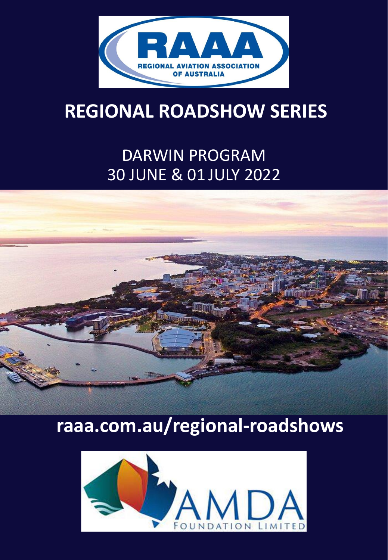

## **REGIONAL ROADSHOW SERIES**

### DARWIN PROGRAM 30 JUNE & 01 JULY 2022



# **raaa.com.au/regional-roadshows**

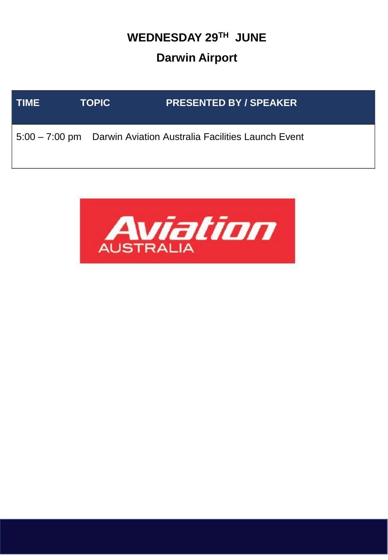### **WEDNESDAY 29TH JUNE Darwin Airport**



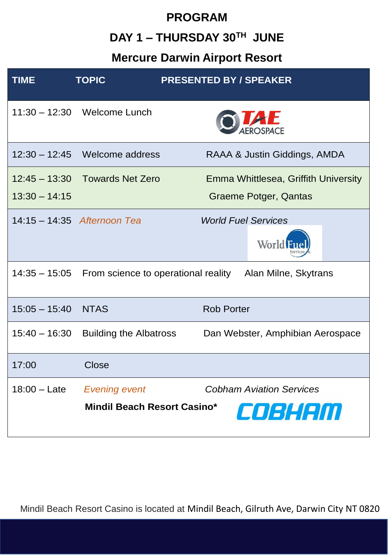# **PROGRAM DAY 1 – THURSDAY 30TH JUNE**

#### **Mercure Darwin Airport Resort**

| <b>TIME</b>                        | <b>TOPIC</b>                                               | <b>PRESENTED BY / SPEAKER</b>                                 |
|------------------------------------|------------------------------------------------------------|---------------------------------------------------------------|
|                                    | 11:30 - 12:30 Welcome Lunch                                |                                                               |
| $12:30 - 12:45$                    | Welcome address                                            | RAAA & Justin Giddings, AMDA                                  |
| $12:45 - 13:30$<br>$13:30 - 14:15$ | <b>Towards Net Zero</b>                                    | Emma Whittlesea, Griffith University<br>Graeme Potger, Qantas |
|                                    | 14:15 - 14:35 Afternoon Tea                                | <b>World Fuel Services</b><br>World                           |
|                                    | 14:35 - 15:05 From science to operational reality          | Alan Milne, Skytrans                                          |
| $15:05 - 15:40$                    | <b>NTAS</b>                                                | <b>Rob Porter</b>                                             |
| $15:40 - 16:30$                    | <b>Building the Albatross</b>                              | Dan Webster, Amphibian Aerospace                              |
| 17:00                              | <b>Close</b>                                               |                                                               |
| $18:00 -$ Late                     | <b>Evening event</b><br><b>Mindil Beach Resort Casino*</b> | <b>Cobham Aviation Services</b><br>COBHEIM                    |

Mindil Beach Resort Casino is located at Mindil Beach, Gilruth Ave, Darwin City NT 0820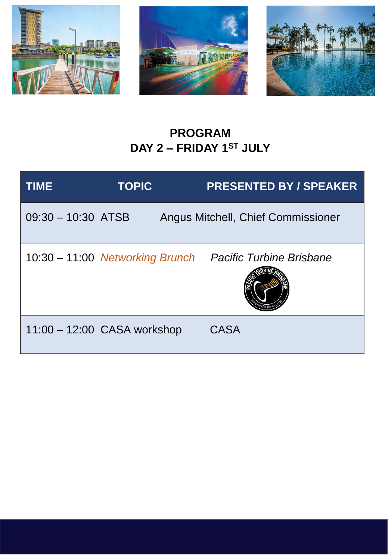





### **PROGRAM DAY 2 – FRIDAY 1ST JULY**

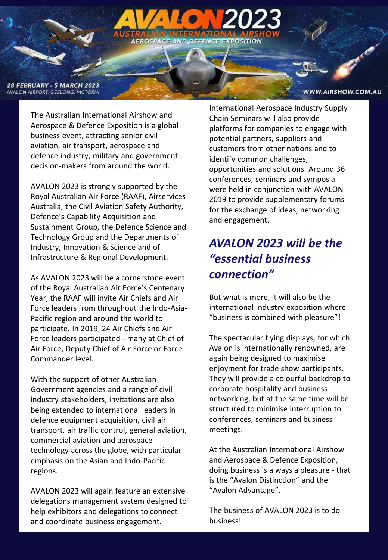

The Australian International Airshow and Aerospace & Defence Exposition is a global business event, attracting senior civil aviation, air transport, aerospace and defence industry, military and government decision-makers from around the world.

AEROSPA

AVALON 2023 is strongly supported by the Royal Australian Air Force (RAAF), Airservices Australia, the Civil Aviation Safety Authority, Defence's Capability Acquisition and Sustainment Group, the Defence Science and Technology Group and the Departments of Industry, Innovation & Science and of Infrastructure & Regional Development.

As AVALON 2023 will be a cornerstone event of the Royal Australian Air Force's Centenary Year, the RAAF will invite Air Chiefs and Air Force leaders from throughout the Indo-Asia-Pacific region and around the world to participate. In 2019, 24 Air Chiefs and Air Force leaders participated - many at Chief of Air Force, Deputy Chief of Air Force or Force Commander level.

With the support of other Australian Government agencies and a range of civil industry stakeholders, invitations are also being extended to international leaders in defence equipment acquisition, civil air transport, air traffic control, general aviation, commercial aviation and aerospace technology across the globe, with particular emphasis on the Asian and Indo-Pacific regions.

AVALON 2023 will again feature an extensive delegations management system designed to help exhibitors and delegations to connect and coordinate business engagement.

International Aerospace Industry Supply Chain Seminars will also provide platforms for companies to engage with potential partners, suppliers and customers from other nations and to identify common challenges, opportunities and solutions. Around 36 conferences, seminars and symposia were held in conjunction with AVALON 2019 to provide supplementary forums for the exchange of ideas, networking and engagement.

**AND DEFENCE EXPOSITION** 

### *AVALON 2023 will be the "essential business connection"*

But what is more, it will also be the international industry exposition where "business is combined with pleasure"!

The spectacular flying displays, for which Avalon is internationally renowned, are again being designed to maximise enjoyment for trade show participants. They will provide a colourful backdrop to corporate hospitality and business networking, but at the same time will be structured to minimise interruption to conferences, seminars and business meetings.

At the Australian International Airshow and Aerospace & Defence Exposition, doing business is always a pleasure - that is the "Avalon Distinction" and the "Avalon Advantage".

The business of AVALON 2023 is to do business!

WWW.AIRSHOW.COM.AU